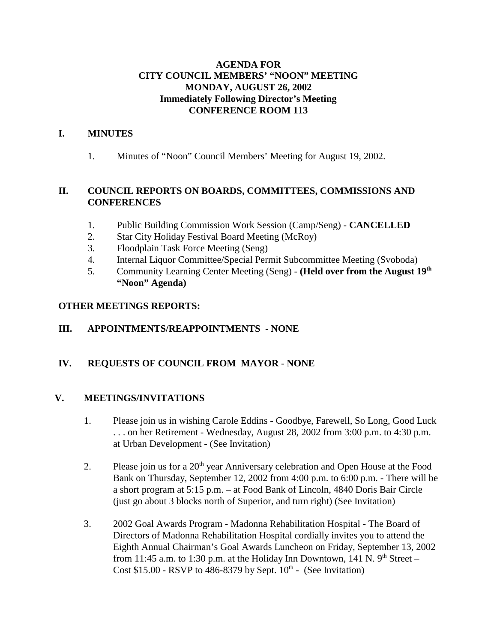## **AGENDA FOR CITY COUNCIL MEMBERS' "NOON" MEETING MONDAY, AUGUST 26, 2002 Immediately Following Director's Meeting CONFERENCE ROOM 113**

## **I. MINUTES**

1. Minutes of "Noon" Council Members' Meeting for August 19, 2002.

## **II. COUNCIL REPORTS ON BOARDS, COMMITTEES, COMMISSIONS AND CONFERENCES**

- 1. Public Building Commission Work Session (Camp/Seng) **CANCELLED**
- 2. Star City Holiday Festival Board Meeting (McRoy)
- 3. Floodplain Task Force Meeting (Seng)
- 4. Internal Liquor Committee/Special Permit Subcommittee Meeting (Svoboda)
- 5. Community Learning Center Meeting (Seng) **(Held over from the August 19th "Noon" Agenda)**

## **OTHER MEETINGS REPORTS:**

# **III. APPOINTMENTS/REAPPOINTMENTS - NONE**

# **IV. REQUESTS OF COUNCIL FROM MAYOR** - **NONE**

## **V. MEETINGS/INVITATIONS**

- 1. Please join us in wishing Carole Eddins Goodbye, Farewell, So Long, Good Luck . . . on her Retirement - Wednesday, August 28, 2002 from 3:00 p.m. to 4:30 p.m. at Urban Development - (See Invitation)
- 2. Please join us for a  $20<sup>th</sup>$  year Anniversary celebration and Open House at the Food Bank on Thursday, September 12, 2002 from 4:00 p.m. to 6:00 p.m. - There will be a short program at 5:15 p.m. – at Food Bank of Lincoln, 4840 Doris Bair Circle (just go about 3 blocks north of Superior, and turn right) (See Invitation)
- 3. 2002 Goal Awards Program Madonna Rehabilitation Hospital The Board of Directors of Madonna Rehabilitation Hospital cordially invites you to attend the Eighth Annual Chairman's Goal Awards Luncheon on Friday, September 13, 2002 from 11:45 a.m. to 1:30 p.m. at the Holiday Inn Downtown, 141 N.  $9<sup>th</sup>$  Street – Cost  $$15.00$  - RSVP to 486-8379 by Sept.  $10<sup>th</sup>$  - (See Invitation)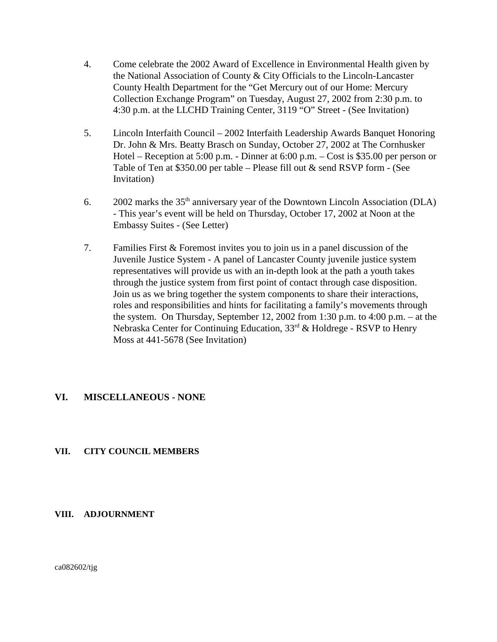- 4. Come celebrate the 2002 Award of Excellence in Environmental Health given by the National Association of County & City Officials to the Lincoln-Lancaster County Health Department for the "Get Mercury out of our Home: Mercury Collection Exchange Program" on Tuesday, August 27, 2002 from 2:30 p.m. to 4:30 p.m. at the LLCHD Training Center, 3119 "O" Street - (See Invitation)
- 5. Lincoln Interfaith Council 2002 Interfaith Leadership Awards Banquet Honoring Dr. John & Mrs. Beatty Brasch on Sunday, October 27, 2002 at The Cornhusker Hotel – Reception at 5:00 p.m. - Dinner at 6:00 p.m. – Cost is \$35.00 per person or Table of Ten at \$350.00 per table – Please fill out & send RSVP form - (See Invitation)
- 6. 2002 marks the  $35<sup>th</sup>$  anniversary year of the Downtown Lincoln Association (DLA) - This year's event will be held on Thursday, October 17, 2002 at Noon at the Embassy Suites - (See Letter)
- 7. Families First & Foremost invites you to join us in a panel discussion of the Juvenile Justice System - A panel of Lancaster County juvenile justice system representatives will provide us with an in-depth look at the path a youth takes through the justice system from first point of contact through case disposition. Join us as we bring together the system components to share their interactions, roles and responsibilities and hints for facilitating a family's movements through the system. On Thursday, September 12, 2002 from 1:30 p.m. to 4:00 p.m. – at the Nebraska Center for Continuing Education,  $33<sup>rd</sup>$  & Holdrege - RSVP to Henry Moss at 441-5678 (See Invitation)

## **VI. MISCELLANEOUS - NONE**

## **VII. CITY COUNCIL MEMBERS**

#### **VIII. ADJOURNMENT**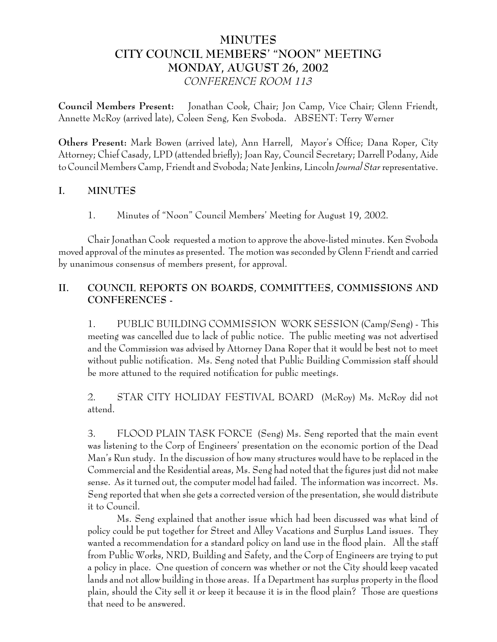# **MINUTES CITY COUNCIL MEMBERS' "NOON" MEETING MONDAY, AUGUST 26, 2002** *CONFERENCE ROOM 113*

**Council Members Present:** Jonathan Cook, Chair; Jon Camp, Vice Chair; Glenn Friendt, Annette McRoy (arrived late), Coleen Seng, Ken Svoboda. ABSENT: Terry Werner

**Others Present:** Mark Bowen (arrived late), Ann Harrell, Mayor's Office; Dana Roper, City Attorney; Chief Casady, LPD (attended briefly); Joan Ray, Council Secretary; Darrell Podany, Aide to Council Members Camp, Friendt and Svoboda; Nate Jenkins, Lincoln *Journal Star* representative.

## **I. MINUTES**

1. Minutes of "Noon" Council Members' Meeting for August 19, 2002.

Chair Jonathan Cook requested a motion to approve the above-listed minutes. Ken Svoboda moved approval of the minutes as presented. The motion was seconded by Glenn Friendt and carried by unanimous consensus of members present, for approval.

# **II. COUNCIL REPORTS ON BOARDS, COMMITTEES, COMMISSIONS AND CONFERENCES -**

1. PUBLIC BUILDING COMMISSION WORK SESSION (Camp/Seng) - This meeting was cancelled due to lack of public notice. The public meeting was not advertised and the Commission was advised by Attorney Dana Roper that it would be best not to meet without public notification. Ms. Seng noted that Public Building Commission staff should be more attuned to the required notification for public meetings.

2. STAR CITY HOLIDAY FESTIVAL BOARD (McRoy) Ms. McRoy did not attend.

3. FLOOD PLAIN TASK FORCE (Seng) Ms. Seng reported that the main event was listening to the Corp of Engineers' presentation on the economic portion of the Dead Man's Run study. In the discussion of how many structures would have to be replaced in the Commercial and the Residential areas, Ms. Seng had noted that the figures just did not make sense. As it turned out, the computer model had failed. The information was incorrect. Ms. Seng reported that when she gets a corrected version of the presentation, she would distribute it to Council.

Ms. Seng explained that another issue which had been discussed was what kind of policy could be put together for Street and Alley Vacations and Surplus Land issues. They wanted a recommendation for a standard policy on land use in the flood plain. All the staff from Public Works, NRD, Building and Safety, and the Corp of Engineers are trying to put a policy in place. One question of concern was whether or not the City should keep vacated lands and not allow building in those areas. If a Department has surplus property in the flood plain, should the City sell it or keep it because it is in the flood plain? Those are questions that need to be answered.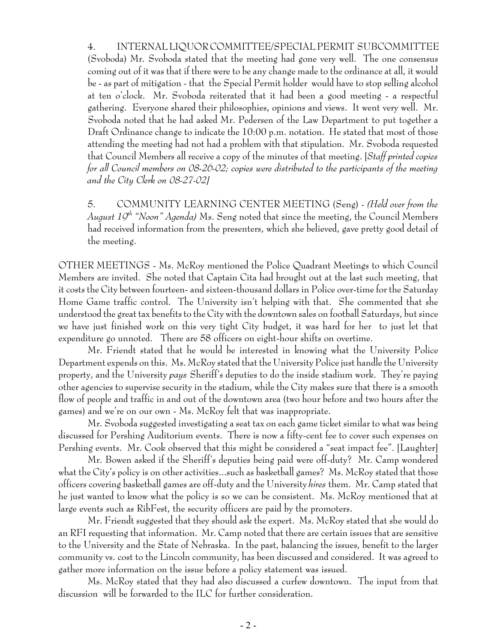4. INTERNAL LIQUOR COMMITTEE/SPECIAL PERMIT SUBCOMMITTEE (Svoboda) Mr. Svoboda stated that the meeting had gone very well. The one consensus coming out of it was that if there were to be any change made to the ordinance at all, it would be - as part of mitigation - that the Special Permit holder would have to stop selling alcohol at ten o'clock. Mr. Svoboda reiterated that it had been a good meeting - a respectful gathering. Everyone shared their philosophies, opinions and views. It went very well. Mr. Svoboda noted that he had asked Mr. Pedersen of the Law Department to put together a Draft Ordinance change to indicate the 10:00 p.m. notation. He stated that most of those attending the meeting had not had a problem with that stipulation. Mr. Svoboda requested that Council Members all receive a copy of the minutes of that meeting. [*Staff printed copies for all Council members on 08-26-02; copies were distributed to the participants of the meeting and the City Clerk on 08-27-02]*

5. COMMUNITY LEARNING CENTER MEETING (Seng) - *(Held over from the August 19th "Noon" Agenda)* Ms. Seng noted that since the meeting, the Council Members had received information from the presenters, which she believed, gave pretty good detail of the meeting.

OTHER MEETINGS - Ms. McRoy mentioned the Police Quadrant Meetings to which Council Members are invited. She noted that Captain Cita had brought out at the last such meeting, that it costs the City between fourteen- and sixteen-thousand dollars in Police over-time for the Saturday Home Game traffic control. The University isn't helping with that. She commented that she understood the great tax benefits to the City with the downtown sales on football Saturdays, but since we have just finished work on this very tight City budget, it was hard for her to just let that expenditure go unnoted. There are 58 officers on eight-hour shifts on overtime.

Mr. Friendt stated that he would be interested in knowing what the University Police Department expends on this. Ms. McRoy stated that the University Police just handle the University property, and the University *pays* Sheriff's deputies to do the inside stadium work. They're paying other agencies to supervise security in the stadium, while the City makes sure that there is a smooth flow of people and traffic in and out of the downtown area (two hour before and two hours after the games) and we're on our own - Ms. McRoy felt that was inappropriate.

Mr. Svoboda suggested investigating a seat tax on each game ticket similar to what was being discussed for Pershing Auditorium events. There is now a fifty-cent fee to cover such expenses on Pershing events. Mr. Cook observed that this might be considered a "seat impact fee". [Laughter]

Mr. Bowen asked if the Sheriff's deputies being paid were off-duty? Mr. Camp wondered what the City's policy is on other activities...such as basketball games? Ms. McRoy stated that those officers covering basketball games are off-duty and the University *hires* them. Mr. Camp stated that he just wanted to know what the policy is so we can be consistent. Ms. McRoy mentioned that at large events such as RibFest, the security officers are paid by the promoters.

Mr. Friendt suggested that they should ask the expert. Ms. McRoy stated that she would do an RFI requesting that information. Mr. Camp noted that there are certain issues that are sensitive to the University and the State of Nebraska. In the past, balancing the issues, benefit to the larger community vs. cost to the Lincoln community, has been discussed and considered. It was agreed to gather more information on the issue before a policy statement was issued.

Ms. McRoy stated that they had also discussed a curfew downtown. The input from that discussion will be forwarded to the ILC for further consideration.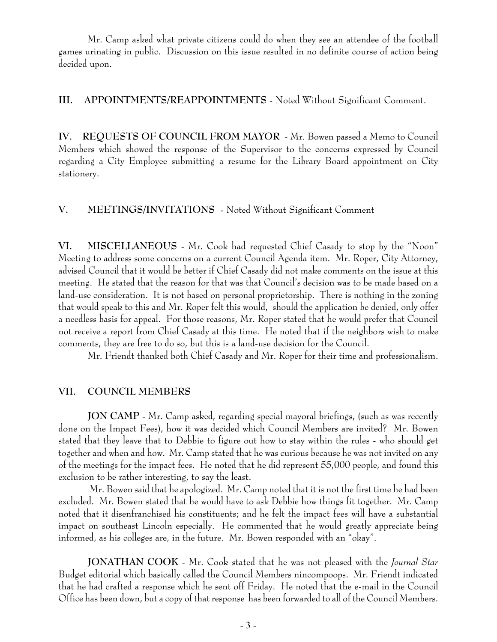Mr. Camp asked what private citizens could do when they see an attendee of the football games urinating in public. Discussion on this issue resulted in no definite course of action being decided upon.

**III. APPOINTMENTS/REAPPOINTMENTS** - Noted Without Significant Comment.

**IV. REQUESTS OF COUNCIL FROM MAYOR** - Mr. Bowen passed a Memo to Council Members which showed the response of the Supervisor to the concerns expressed by Council regarding a City Employee submitting a resume for the Library Board appointment on City stationery.

## **V. MEETINGS/INVITATIONS** - Noted Without Significant Comment

**VI. MISCELLANEOUS** - Mr. Cook had requested Chief Casady to stop by the "Noon" Meeting to address some concerns on a current Council Agenda item. Mr. Roper, City Attorney, advised Council that it would be better if Chief Casady did not make comments on the issue at this meeting. He stated that the reason for that was that Council's decision was to be made based on a land-use consideration. It is not based on personal proprietorship. There is nothing in the zoning that would speak to this and Mr. Roper felt this would, should the application be denied, only offer a needless basis for appeal. For those reasons, Mr. Roper stated that he would prefer that Council not receive a report from Chief Casady at this time. He noted that if the neighbors wish to make comments, they are free to do so, but this is a land-use decision for the Council.

Mr. Friendt thanked both Chief Casady and Mr. Roper for their time and professionalism.

## **VII. COUNCIL MEMBERS**

**JON CAMP** - Mr. Camp asked, regarding special mayoral briefings, (such as was recently done on the Impact Fees), how it was decided which Council Members are invited? Mr. Bowen stated that they leave that to Debbie to figure out how to stay within the rules - who should get together and when and how. Mr. Camp stated that he was curious because he was not invited on any of the meetings for the impact fees. He noted that he did represent 55,000 people, and found this exclusion to be rather interesting, to say the least.

 Mr. Bowen said that he apologized. Mr. Camp noted that it is not the first time he had been excluded. Mr. Bowen stated that he would have to ask Debbie how things fit together. Mr. Camp noted that it disenfranchised his constituents; and he felt the impact fees will have a substantial impact on southeast Lincoln especially. He commented that he would greatly appreciate being informed, as his colleges are, in the future. Mr. Bowen responded with an "okay".

**JONATHAN COOK** - Mr. Cook stated that he was not pleased with the *Journal Star* Budget editorial which basically called the Council Members nincompoops. Mr. Friendt indicated that he had crafted a response which he sent off Friday. He noted that the e-mail in the Council Office has been down, but a copy of that response has been forwarded to all of the Council Members.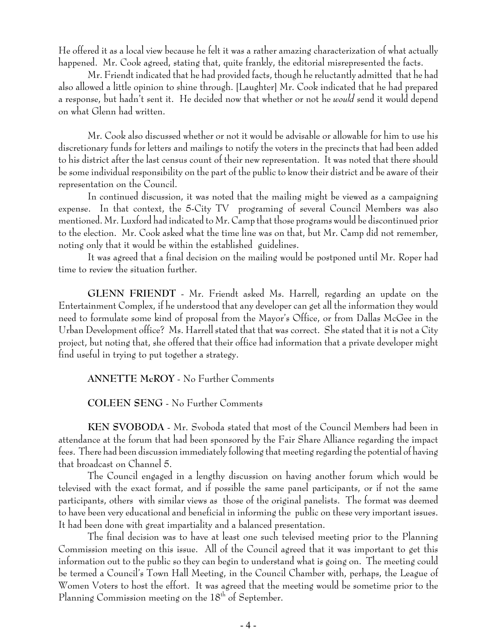He offered it as a local view because he felt it was a rather amazing characterization of what actually happened. Mr. Cook agreed, stating that, quite frankly, the editorial misrepresented the facts.

Mr. Friendt indicated that he had provided facts, though he reluctantly admitted that he had also allowed a little opinion to shine through. [Laughter] Mr. Cook indicated that he had prepared a response, but hadn't sent it. He decided now that whether or not he *would* send it would depend on what Glenn had written.

Mr. Cook also discussed whether or not it would be advisable or allowable for him to use his discretionary funds for letters and mailings to notify the voters in the precincts that had been added to his district after the last census count of their new representation. It was noted that there should be some individual responsibility on the part of the public to know their district and be aware of their representation on the Council.

In continued discussion, it was noted that the mailing might be viewed as a campaigning expense. In that context, the 5-City TV programing of several Council Members was also mentioned. Mr. Luxford had indicated to Mr. Camp that those programs would be discontinued prior to the election. Mr. Cook asked what the time line was on that, but Mr. Camp did not remember, noting only that it would be within the established guidelines.

It was agreed that a final decision on the mailing would be postponed until Mr. Roper had time to review the situation further.

**GLENN FRIENDT** - Mr. Friendt asked Ms. Harrell, regarding an update on the Entertainment Complex, if he understood that any developer can get all the information they would need to formulate some kind of proposal from the Mayor's Office, or from Dallas McGee in the Urban Development office? Ms. Harrell stated that that was correct. She stated that it is not a City project, but noting that, she offered that their office had information that a private developer might find useful in trying to put together a strategy.

**ANNETTE McROY** - No Further Comments

**COLEEN SENG** - No Further Comments

**KEN SVOBODA** - Mr. Svoboda stated that most of the Council Members had been in attendance at the forum that had been sponsored by the Fair Share Alliance regarding the impact fees. There had been discussion immediately following that meeting regarding the potential of having that broadcast on Channel 5.

The Council engaged in a lengthy discussion on having another forum which would be televised with the exact format, and if possible the same panel participants, or if not the same participants, others with similar views as those of the original panelists. The format was deemed to have been very educational and beneficial in informing the public on these very important issues. It had been done with great impartiality and a balanced presentation.

The final decision was to have at least one such televised meeting prior to the Planning Commission meeting on this issue. All of the Council agreed that it was important to get this information out to the public so they can begin to understand what is going on. The meeting could be termed a Council's Town Hall Meeting, in the Council Chamber with, perhaps, the League of Women Voters to host the effort. It was agreed that the meeting would be sometime prior to the Planning Commission meeting on the  $18<sup>th</sup>$  of September.